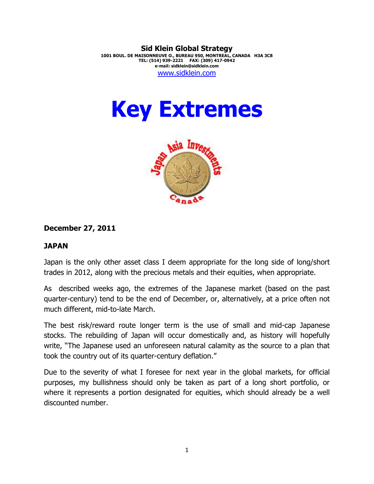**Sid Klein Global Strategy 1001 BOUL. DE MAISONNEUVE O., BUREAU 950, MONTREAL, CANADA H3A 3C8 TEL: (514) 939-2221 FAX: (309) 417-0942 e-mail: sidklein@sidklein.com**  www.sidklein.com

# **Key Extremes**



## **December 27, 2011**

## **JAPAN**

Japan is the only other asset class I deem appropriate for the long side of long/short trades in 2012, along with the precious metals and their equities, when appropriate.

As described weeks ago, the extremes of the Japanese market (based on the past quarter-century) tend to be the end of December, or, alternatively, at a price often not much different, mid-to-late March.

The best risk/reward route longer term is the use of small and mid-cap Japanese stocks. The rebuilding of Japan will occur domestically and, as history will hopefully write, "The Japanese used an unforeseen natural calamity as the source to a plan that took the country out of its quarter-century deflation."

Due to the severity of what I foresee for next year in the global markets, for official purposes, my bullishness should only be taken as part of a long short portfolio, or where it represents a portion designated for equities, which should already be a well discounted number.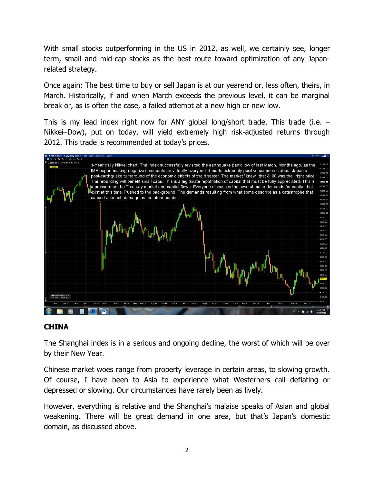With small stocks outperforming in the US in 2012, as well, we certainly see, longer term, small and mid-cap stocks as the best route toward optimization of any Japanrelated strategy.

Once again: The best time to buy or sell Japan is at our yearend or, less often, theirs, in March. Historically, if and when March exceeds the previous level, it can be marginal break or, as is often the case, a failed attempt at a new high or new low.

This is my lead index right now for ANY global long/short trade. This trade (i.e. – Nikkei–Dow), put on today, will yield extremely high risk-adjusted returns through 2012. This trade is recommended at today's prices.



## **CHINA**

The Shanghai index is in a serious and ongoing decline, the worst of which will be over by their New Year.

Chinese market woes range from property leverage in certain areas, to slowing growth. Of course, I have been to Asia to experience what Westerners call deflating or depressed or slowing. Our circumstances have rarely been as lively.

However, everything is relative and the Shanghai's malaise speaks of Asian and global weakening. There will be great demand in one area, but that's Japan's domestic domain, as discussed above.